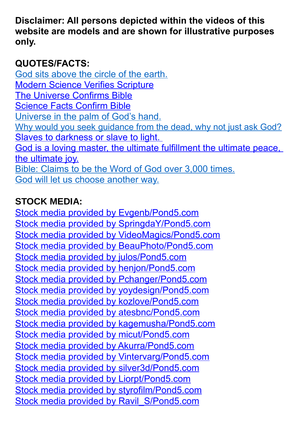**Disclaimer: All persons depicted within the videos of this website are models and are shown for illustrative purposes only.**

#### **QUOTES/FACTS:**

[God sits above the circle of the earth.](https://www.biblegateway.com/passage/?search=Isaiah%2040:22&version=NLT;NKJV) [Modern Science Verifies Scripture](http://www.icr.org/article/modern-scientific-discoveries-verifyscriptures/) [The Universe Confirms Bible](https://answersingenesis.org/answers/books/taking-backastronomy/) [Science Facts Confirm Bible](http://worldview3.50webs.com/science.html) [Universe in the palm of God's hand.](https://www.biblegateway.com/passage/?search=Isaiah+40:12&version=NLT;NKJV) [Why would you seek guidance from the dead, why not just ask God?](https://www.biblegateway.com/passage/?search=Isaiah+8:19-20&version=NIV;NVI;KJV) Slaves to darkness or slave to light. [God is a loving master, the ultimate fulfillment the ultimate peace,](https://billygraham.org/story/15-bible-verses-to-give-you-hope-for-the-future/)  [the ultimate joy.](https://billygraham.org/story/15-bible-verses-to-give-you-hope-for-the-future/) [Bible: Claims to be the Word of God over 3,000 times.](https://www.whatchristianswanttoknow.com/10-amazing-bible-facts/) [God will let us choose another way.](https://bible.knowing-jesus.com/topics/Rejection-Of-God,-Results-Of)

#### **STOCK MEDIA:**

[Stock media provided by Evgenb/Pond5.com](https://www.pond5.com/stock-footage/783192/leader-running-people.html) [Stock media provided by SpringdaY/Pond5.com](https://www.pond5.com/stock-footage/1848397/scientific-formuls.html) [Stock media provided by VideoMagics/Pond5.com](https://www.pond5.com/stock-footage/12036525/matrix-global-eye-blue.html) [Stock media provided by BeauPhoto/Pond5.com](https://www.pond5.com/stock-footage/268725/travel-earth-hd.html) [Stock media provided by julos/Pond5.com](https://www.pond5.com/stock-footage/135305/speaker.html) [Stock media provided by henjon/Pond5.com](https://www.pond5.com/stock-footage/47011440/angry-man-yelling-and-pointing-his-finger.html) [Stock media provided by Pchanger/Pond5.com](https://www.pond5.com/stock-footage/32850225/cg-space-scene-planet-earth-lens-flares-and-stars.html) [Stock media provided by yoydesign/Pond5.com](https://www.pond5.com/stock-footage/54081768/monks-walking-luang-prabang.html) [Stock media provided by kozlove/Pond5.com](https://www.pond5.com/stock-footage/10563967/loopable-line-energy-element-spectral-colors.html) [Stock media provided by atesbnc/Pond5.com](https://www.pond5.com/stock-footage/8761529/rumourpeople-talking.html) [Stock media provided by kagemusha/Pond5.com](https://www.pond5.com/stock-footage/32425282/ulaanbaatar-mongolia-july-2013-people-shaman-ceremony.html) [Stock media provided by micut/Pond5.com](https://www.pond5.com/stock-footage/7763404/freed-jail.html) [Stock media provided by Akurra/Pond5.com](https://www.pond5.com/stock-footage/44564808/flying-above-clouds-toward-sunset.html) [Stock media provided by Vintervarg/Pond5.com](https://www.pond5.com/stock-footage/22680179/medieval-bible.html) [Stock media provided by silver3d/Pond5.com](https://www.pond5.com/stock-footage/11520267/doors-opening-bright-light-alpha-channel-included-hd-1080.html) [Stock media provided by Liorpt/Pond5.com](https://www.pond5.com/stock-footage/48399098/jerusalem-orthodox-jewish-men-pray-western-wall.html) [Stock media provided by styrofilm/Pond5.com](https://www.pond5.com/stock-footage/1330498/woman-reading-holy-bible.html) [Stock media provided by Ravil\\_S/Pond5.com](https://www.pond5.com/stock-footage/60984009/old-mullah-reading-koran.html)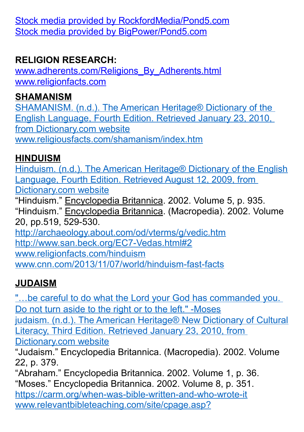[Stock media provided by RockfordMedia/Pond5.com](https://www.pond5.com/stock-footage/41329956/flying-through-space-towards-amazing-galaxy.html) [Stock media provided by BigPower/Pond5.com](https://www.pond5.com/stock-footage/48443052/man-exits-dark-cave-light-exterior-slow-motion.html)

#### **RELIGION RESEARCH:**

[www.adherents.com/Religions\\_By\\_Adherents.html](http://www.adherents.com/Religions_By_Adherents.html) [www.religionfacts.com](http://www.religionfacts.com/)

#### **SHAMANISM**

[SHAMANISM. \(n.d.\). The American Heritage® Dictionary of the](http://dictionary.reference.com/browse/SHAMANISM)  [English Language, Fourth Edition. Retrieved January 23, 2010,](http://dictionary.reference.com/browse/SHAMANISM)  [from Dictionary.com website](http://dictionary.reference.com/browse/SHAMANISM) [www.religiousfacts.com/shamanism/index.htm](http://www.religiousfacts.com/shamanism/index.htm)

#### **HINDUISM**

[Hinduism. \(n.d.\). The American Heritage® Dictionary of the English](http://dictionary.reference.com/browse/Hinduism) [Language, Fourth Edition. Retrieved August 12, 2009, from](http://dictionary.reference.com/browse/Hinduism)  [Dictionary.com website](http://dictionary.reference.com/browse/Hinduism)

"Hinduism." Encyclopedia Britannica. 2002. Volume 5, p. 935. "Hinduism." Encyclopedia Britannica. (Macropedia). 2002. Volume 20, pp.519, 529-530.

<http://archaeology.about.com/od/vterms/g/vedic.htm> [http://www.san.beck.org/EC7-Vedas.html#2](http://www.san.beck.org/EC7-Vedas.html%232)

[www.religionfacts.com/hinduism](http://www.religionfacts.com/hinduism)

[www.cnn.com/2013/11/07/world/hinduism-fast-facts](http://www.cnn.com/2013/11/07/world/hinduism-fast-facts/)

## **JUDAISM**

["…be careful to do what the Lord your God has commanded you.](http://www.biblegateway.com/passage/?search=Deuteronomy%205%3A32&version=NIV)  [Do not turn aside to the right or to the left." -Moses](http://www.biblegateway.com/passage/?search=Deuteronomy%205%3A32&version=NIV) [judaism. \(n.d.\). The American Heritage® New Dictionary of Cultural](http://dictionary.reference.com/browse/judaism)

[Literacy, Third Edition. Retrieved January 23, 2010, from](http://dictionary.reference.com/browse/judaism)  [Dictionary.com website](http://dictionary.reference.com/browse/judaism)

"Judaism." Encyclopedia Britannica. (Macropedia). 2002. Volume 22, p. 379.

"Abraham." Encyclopedia Britannica. 2002. Volume 1, p. 36. "Moses." Encyclopedia Britannica. 2002. Volume 8, p. 351. <https://carm.org/when-was-bible-written-and-who-wrote-it> [www.relevantbibleteaching.com/site/cpage.asp?](http://www.relevantbibleteaching.com/site/cpage.asp?cpage_id=140011204&sec_id=140001239)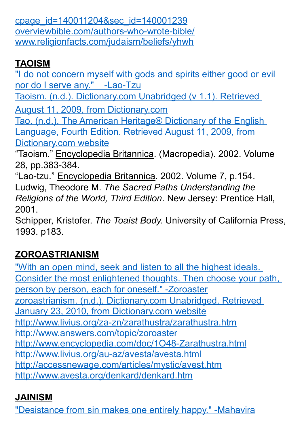[cpage\\_id=140011204&sec\\_id=140001239](http://www.relevantbibleteaching.com/site/cpage.asp?cpage_id=140011204&sec_id=140001239) [overviewbible.com/authors-who-wrote-bible/](http://overviewbible.com/authors-who-wrote-bible/) [www.religionfacts.com/judaism/beliefs/yhwh](http://www.religionfacts.com/judaism/beliefs/yhwh)

#### **TAOISM**

["I do not concern myself with gods and spirits either good or evil](http://www.brainyquote.com/quotes/quotes/l/laotzu385510.html)   [nor do I serve any." -Lao-Tzu](http://www.brainyquote.com/quotes/quotes/l/laotzu385510.html) [Taoism. \(n.d.\). Dictionary.com Unabridged \(v 1.1\). Retrieved](http://dictionary.reference.com/browse/Taoism)  [August 11, 2009, from Dictionary.com](http://dictionary.reference.com/browse/Taoism) [Tao. \(n.d.\). The American Heritage® Dictionary of the English](http://dictionary.reference.com/browse/Taoism)  [Language, Fourth Edition. Retrieved August 11, 2009, from](http://dictionary.reference.com/browse/Taoism)  [Dictionary.com website](http://dictionary.reference.com/browse/Taoism) "Taoism." Encyclopedia Britannica. (Macropedia). 2002. Volume

28, pp.383-384.

"Lao-tzu." Encyclopedia Britannica. 2002. Volume 7, p.154. Ludwig, Theodore M. *The Sacred Paths Understanding the Religions of the World, Third Edition*. New Jersey: Prentice Hall, 2001.

Schipper, Kristofer. *The Toaist Body.* University of California Press, 1993. p183.

# **ZOROASTRIANISM**

["With an open mind, seek and listen to all the highest ideals.](http://www.inspiringquotes.us/author/4715-zoroaster)  [Consider the most enlightened thoughts. Then choose your path,](http://www.inspiringquotes.us/author/4715-zoroaster)  [person by person, each for oneself." -Zoroaster](http://www.inspiringquotes.us/author/4715-zoroaster) [zoroastrianism. \(n.d.\). Dictionary.com Unabridged. Retrieved](http://dictionary.reference.com/browse/zoroastrianism)  [January 23, 2010, from Dictionary.com website](http://dictionary.reference.com/browse/zoroastrianism) <http://www.livius.org/za-zn/zarathustra/zarathustra.htm> <http://www.answers.com/topic/zoroaster> <http://www.encyclopedia.com/doc/1O48-Zarathustra.html> <http://www.livius.org/au-az/avesta/avesta.html> <http://accessnewage.com/articles/mystic/avest.htm> <http://www.avesta.org/denkard/denkard.htm>

## **JAINISM**

["Desistance from sin makes one entirely happy." -Mahavira](http://www.quotes.yourdictionary.com/author/mahavira/79546)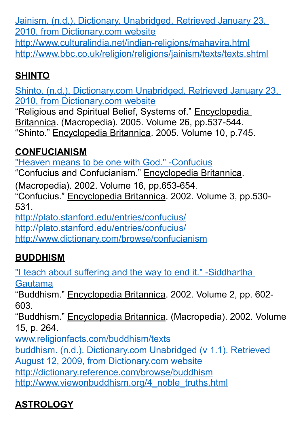[Jainism. \(n.d.\). Dictionary. Unabridged. Retrieved January 23,](http://dictionary.reference.com/browse/Jainism)  [2010, from Dictionary.com website](http://dictionary.reference.com/browse/Jainism)

<http://www.culturalindia.net/indian-religions/mahavira.html> <http://www.bbc.co.uk/religion/religions/jainism/texts/texts.shtml>

# **SHINTO**

[Shinto. \(n.d.\). Dictionary.com Unabridged. Retrieved January 23,](http://dictionary.reference.com/browse/Shinto)  [2010, from Dictionary.com website](http://dictionary.reference.com/browse/Shinto)

"Religious and Spiritual Belief, Systems of." Encyclopedia Britannica. (Macropedia). 2005. Volume 26, pp.537-544. "Shinto." Encyclopedia Britannica. 2005. Volume 10, p.745.

## **CONFUCIANISM**

"Heaven means to be one with God." - Confucius "Confucius and Confucianism." Encyclopedia Britannica. (Macropedia). 2002. Volume 16, pp.653-654. "Confucius." Encyclopedia Britannica. 2002. Volume 3, pp.530- 531. <http://plato.stanford.edu/entries/confucius/>

<http://plato.stanford.edu/entries/confucius/>

<http://www.dictionary.com/browse/confucianism>

# **BUDDHISM**

["I teach about suffering and the way to end it." -Siddhartha](http://www.viewonbuddhism.org/4_noble_truths.html)  [Gautama](http://www.viewonbuddhism.org/4_noble_truths.html)

"Buddhism." Encyclopedia Britannica. 2002. Volume 2, pp. 602- 603.

"Buddhism." Encyclopedia Britannica. (Macropedia). 2002. Volume 15, p. 264.

[www.religionfacts.com/buddhism/texts](http://www.religionfacts.com/buddhism/texts)

[buddhism. \(n.d.\). Dictionary.com Unabridged \(v 1.1\). Retrieved](http://dictionary.reference.com/browse/buddhism) 

[August 12, 2009, from Dictionary.com website](http://dictionary.reference.com/browse/buddhism)

<http://dictionary.reference.com/browse/buddhism>

[http://www.viewonbuddhism.org/4\\_noble\\_truths.html](http://www.viewonbuddhism.org/4_noble_truths.html)

# **ASTROLOGY**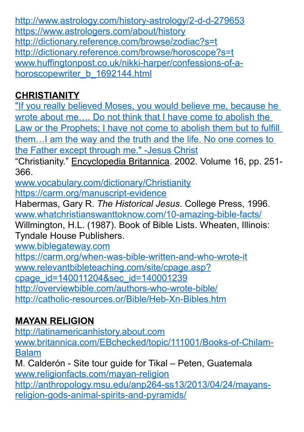<http://www.astrology.com/history-astrology/2-d-d-279653> <https://www.astrologers.com/about/history> <http://dictionary.reference.com/browse/zodiac?s=t> <http://dictionary.reference.com/browse/horoscope?s=t> [www.huffingtonpost.co.uk/nikki-harper/confessions-of-a](http://www.huffingtonpost.co.uk/nikki-harper/confessions-of-a-horoscopewriter_b_1692144.html)[horoscopewriter\\_b\\_1692144.html](http://www.huffingtonpost.co.uk/nikki-harper/confessions-of-a-horoscopewriter_b_1692144.html)

## **CHRISTIANITY**

["If you really believed Moses, you would believe me, because he](https://www.biblegateway.com/passage/?search=John+5%3A46%2C+Matt+5%3A17%2C+John+14%3A6&version=NIV)  wrote about me…. Do not think that I have come to abolish the [Law or the Prophets; I have not come to abolish them but to fulfill](https://www.biblegateway.com/passage/?search=John+5%3A46%2C+Matt+5%3A17%2C+John+14%3A6&version=NIV)  them…I am the way and the truth and the life. No one comes to [the Father except through me." -Jesus Christ](https://www.biblegateway.com/passage/?search=John+5%3A46%2C+Matt+5%3A17%2C+John+14%3A6&version=NIV)

"Christianity." Encyclopedia Britannica. 2002. Volume 16, pp. 251- 366.

[www.vocabulary.com/dictionary/Christianity](http://www.vocabulary.com/dictionary/Christianity) <https://carm.org/manuscript-evidence>

Habermas, Gary R. *The Historical Jesus*. College Press, 1996. [www.whatchristianswanttoknow.com/10-amazing-bible-facts/](http://www.whatchristianswanttoknow.com/10-amazing-bible-facts/) Willmington, H.L. (1987). Book of Bible Lists. Wheaten, Illinois: Tyndale House Publishers.

[www.biblegateway.com](http://www.biblegateway.com/)

<https://carm.org/when-was-bible-written-and-who-wrote-it> [www.relevantbibleteaching.com/site/cpage.asp?](http://www.relevantbibleteaching.com/site/cpage.asp?cpage_id=140011204&sec_id=140001239) [cpage\\_id=140011204&sec\\_id=140001239](http://www.relevantbibleteaching.com/site/cpage.asp?cpage_id=140011204&sec_id=140001239) <http://overviewbible.com/authors-who-wrote-bible/> <http://catholic-resources.or/Bible/Heb-Xn-Bibles.htm>

# **MAYAN RELIGION**

[http://latinamericanhistory.about.com](http://latinamericanhistory.about.com/)

[www.britannica.com/EBchecked/topic/111001/Books-of-Chilam-](http://www.britannica.com/EBchecked/topic/111001/Books-of-Chilam-Balam)[Balam](http://www.britannica.com/EBchecked/topic/111001/Books-of-Chilam-Balam)

M. Calderón - Site tour guide for Tikal – Peten, Guatemala [www.religionfacts.com/mayan-religion](http://www.religionfacts.com/mayan-religion) [http://anthropology.msu.edu/anp264-ss13/2013/04/24/mayans](http://anthropology.msu.edu/anp264-ss13/2013/04/24/mayans-religion-gods-animal-spirits-and-pyramids/)[religion-gods-animal-spirits-and-pyramids/](http://anthropology.msu.edu/anp264-ss13/2013/04/24/mayans-religion-gods-animal-spirits-and-pyramids/)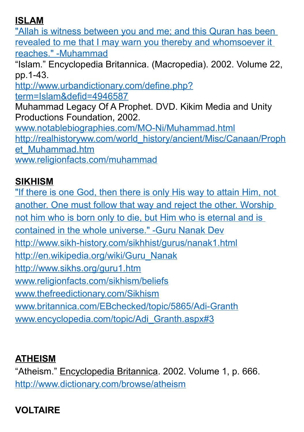#### **ISLAM**

["Allah is witness between you and me; and this Quran has been](http://corpus.quran.com/translation.jsp?chapter=6&verse=19)  [revealed to me that I may warn you thereby and whomsoever it](http://corpus.quran.com/translation.jsp?chapter=6&verse=19)  [reaches." -Muhammad](http://corpus.quran.com/translation.jsp?chapter=6&verse=19)

"Islam." Encyclopedia Britannica. (Macropedia). 2002. Volume 22, pp.1-43.

[http://www.urbandictionary.com/define.php?](http://www.urbandictionary.com/define.php?term=Islam&defid=4946587) [term=Islam&defid=4946587](http://www.urbandictionary.com/define.php?term=Islam&defid=4946587)

Muhammad Legacy Of A Prophet. DVD. Kikim Media and Unity Productions Foundation, 2002.

[www.notablebiographies.com/MO-Ni/Muhammad.html](http://www.notablebiographies.com/MO-Ni/Muhammad.html) [http://realhistoryww.com/world\\_history/ancient/Misc/Canaan/Proph](http://realhistoryww.com/world_history/ancient/Misc/Canaan/Prophet_Muhammad.htm) [et\\_Muhammad.htm](http://realhistoryww.com/world_history/ancient/Misc/Canaan/Prophet_Muhammad.htm)

[www.religionfacts.com/muhammad](http://www.religionfacts.com/muhammad)

#### **SIKHISM**

["If there is one God, then there is only His way to attain Him, not](http://www.brainyquote.com/quotes/quotes/g/gurunanak745814.html)  [another. One must follow that way and reject the other. Worship](http://www.brainyquote.com/quotes/quotes/g/gurunanak745814.html)  not him who is born only to die, but Him who is eternal and is [contained in the whole universe." -Guru Nanak Dev](http://www.brainyquote.com/quotes/quotes/g/gurunanak745814.html) <http://www.sikh-history.com/sikhhist/gurus/nanak1.html> [http://en.wikipedia.org/wiki/Guru\\_Nanak](http://en.wikipedia.org/wiki/Guru_Nanak) <http://www.sikhs.org/guru1.htm> [www.religionfacts.com/sikhism/beliefs](http://www.religionfacts.com/sikhism/beliefs) [www.thefreedictionary.com/Sikhism](http://www.thefreedictionary.com/Sikhism) [www.britannica.com/EBchecked/topic/5865/Adi-Granth](http://www.britannica.com/EBchecked/topic/5865/Adi-Granth) [www.encyclopedia.com/topic/Adi\\_Granth.aspx#3](http://www.encyclopedia.com/topic/Adi_Granth.aspx#3)

#### **ATHEISM**

"Atheism." Encyclopedia Britannica. 2002. Volume 1, p. 666. <http://www.dictionary.com/browse/atheism>

## **VOLTAIRE**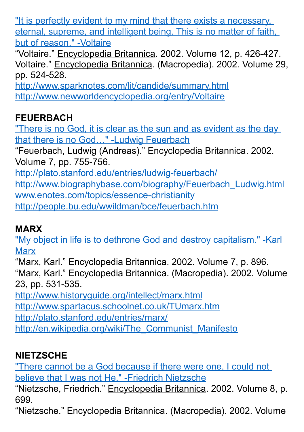["It is perfectly evident to my mind that there exists a necessary,](http://www.deism.com/voltaire.htm)  [eternal, supreme, and intelligent being. This is no matter of faith,](http://www.deism.com/voltaire.htm)  [but of reason." -Voltaire](http://www.deism.com/voltaire.htm)

"Voltaire." Encyclopedia Britannica. 2002. Volume 12, p. 426-427. Voltaire." Encyclopedia Britannica. (Macropedia). 2002. Volume 29, pp. 524-528.

<http://www.sparknotes.com/lit/candide/summary.html> <http://www.newworldencyclopedia.org/entry/Voltaire>

#### **FEUERBACH**

"There is no God, it is clear as the sun and as evident as the day [that there is no God…" -Ludwig Feuerbach](http://www.city-data.com/forum/atheism-agnosticism/415105-101-atheist-quotes-10.html)

"Feuerbach, Ludwig (Andreas)." Encyclopedia Britannica. 2002. Volume 7, pp. 755-756.

<http://plato.stanford.edu/entries/ludwig-feuerbach/> [http://www.biographybase.com/biography/Feuerbach\\_Ludwig.html](http://www.biographybase.com/biography/Feuerbach_Ludwig.html) [www.enotes.com/topics/essence-christianity](http://www.enotes.com/topics/essence-christianity) <http://people.bu.edu/wwildman/bce/feuerbach.htm>

# **MARX**

["My object in life is to dethrone God and destroy capitalism." -Karl](http://www.azquotes.com/quote/466849)  [Marx](http://www.azquotes.com/quote/466849)

"Marx, Karl." Encyclopedia Britannica. 2002. Volume 7, p. 896. "Marx, Karl." Encyclopedia Britannica. (Macropedia). 2002. Volume

23, pp. 531-535.

<http://www.historyguide.org/intellect/marx.html>

<http://www.spartacus.schoolnet.co.uk/TUmarx.htm>

<http://plato.stanford.edu/entries/marx/>

[http://en.wikipedia.org/wiki/The\\_Communist\\_Manifesto](http://en.wikipedia.org/wiki/The_Communist_Manifesto)

# **NIETZSCHE**

["There cannot be a God because if there were one, I could not](http://www.brainyquote.com/quotes/quotes/f/friedrichn137296.html)  [believe that I was not He." -Friedrich Nietzsche](http://www.brainyquote.com/quotes/quotes/f/friedrichn137296.html)

"Nietzsche, Friedrich." Encyclopedia Britannica. 2002. Volume 8, p. 699.

"Nietzsche." Encyclopedia Britannica. (Macropedia). 2002. Volume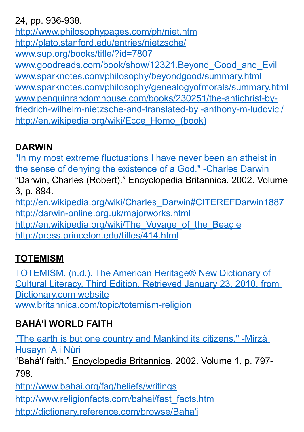#### 24, pp. 936-938.

<http://www.philosophypages.com/ph/niet.htm> <http://plato.stanford.edu/entries/nietzsche/> [www.sup.org/books/title/?id=7807](http://www.sup.org/books/title/?id=7807) [www.goodreads.com/book/show/12321.Beyond\\_Good\\_and\\_Evil](http://www.goodreads.com/book/show/12321.Beyond_Good_and_Evil) [www.sparknotes.com/philosophy/beyondgood/summary.html](http://www.sparknotes.com/philosophy/beyondgood/summary.html) [www.sparknotes.com/philosophy/genealogyofmorals/summary.html](http://www.sparknotes.com/philosophy/genealogyofmorals/summary.html) [www.penguinrandomhouse.com/books/230251/the-antichrist-by](http://www.penguinrandomhouse.com/books/230251/the-antichrist-by-friedrich-wilhelm-nietzsche-and-translated-by%20-anthony-m-ludovici/)[friedrich-wilhelm-nietzsche-and-translated-by -anthony-m-ludovici/](http://www.penguinrandomhouse.com/books/230251/the-antichrist-by-friedrich-wilhelm-nietzsche-and-translated-by%20-anthony-m-ludovici/) [http://en.wikipedia.org/wiki/Ecce\\_Homo\\_\(book\)](http://en.wikipedia.org/wiki/Ecce_Homo_(book))

## **DARWIN**

["In my most extreme fluctuations I have never been an atheist in](http://inters.org/Darwin-God-Evolution)  [the sense of denying the existence of a God." -Charles Darwin](http://inters.org/Darwin-God-Evolution) "Darwin, Charles (Robert)." Encyclopedia Britannica. 2002. Volume 3, p. 894.

[http://en.wikipedia.org/wiki/Charles\\_Darwin#CITEREFDarwin1887](http://en.wikipedia.org/wiki/Charles_Darwin#CITEREFDarwin1887) <http://darwin-online.org.uk/majorworks.html> http://en.wikipedia.org/wiki/The Voyage of the Beagle <http://press.princeton.edu/titles/414.html>

# **TOTEMISM**

[TOTEMISM. \(n.d.\). The American Heritage® New Dictionary of](http://dictionary.reference.com/browse/TOTEMISM)  [Cultural Literacy, Third Edition. Retrieved January 23, 2010, from](http://dictionary.reference.com/browse/TOTEMISM)  [Dictionary.com website](http://dictionary.reference.com/browse/TOTEMISM) [www.britannica.com/topic/totemism-religion](http://www.britannica.com/topic/totemism-religion)

# **BAHÁ'Í WORLD FAITH**

["The earth is but one country and Mankind its citizens." -Mirzà](http://bahaifaithquotes.tumblr.com/)  [Husayn 'Ali Nùri](http://bahaifaithquotes.tumblr.com/)

"Bahá'í faith." Encyclopedia Britannica. 2002. Volume 1, p. 797- 798.

<http://www.bahai.org/faq/beliefs/writings>

[http://www.religionfacts.com/bahai/fast\\_facts.htm](http://www.religionfacts.com/bahai/fast_facts.htm)

[http://dictionary.reference.com/browse/Baha'i](http://dictionary.reference.com/browse/Baha)